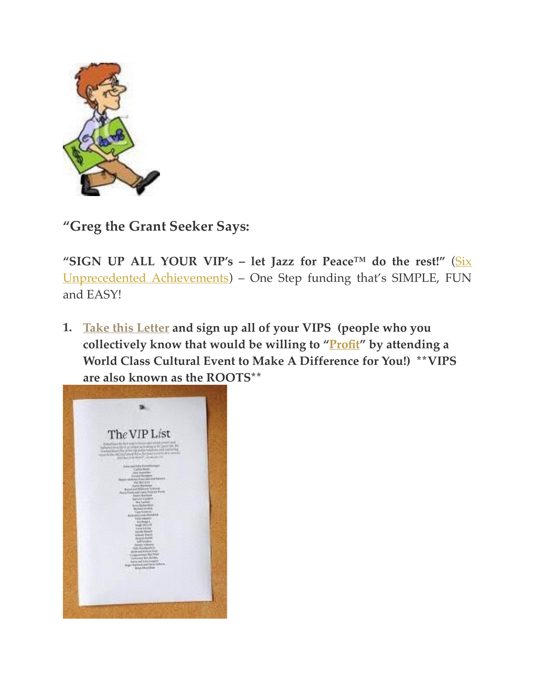

**"Greg the Grant Seeker Says:**

**"SIGN UP ALL YOUR VIP's – let Jazz for Peace™ do the rest!"** (Six [Unprecedented Achievements\) – One Step funding that's SIMPLE, FUN](https://jazzforpeace.wordpress.com/about/unprecedented-achievements/)  and EASY!

**1. [Take this Letter](http://jazzforpeace.org/step1) and sign up all of your VIPS (people who you collectively know that would be willing to "[Profit"](https://jazzforpeace.wordpress.com/step-2/) by attending a World Class Cultural Event to Make A Difference for You!) \*\*VIPS are also known as the ROOTS\*\***

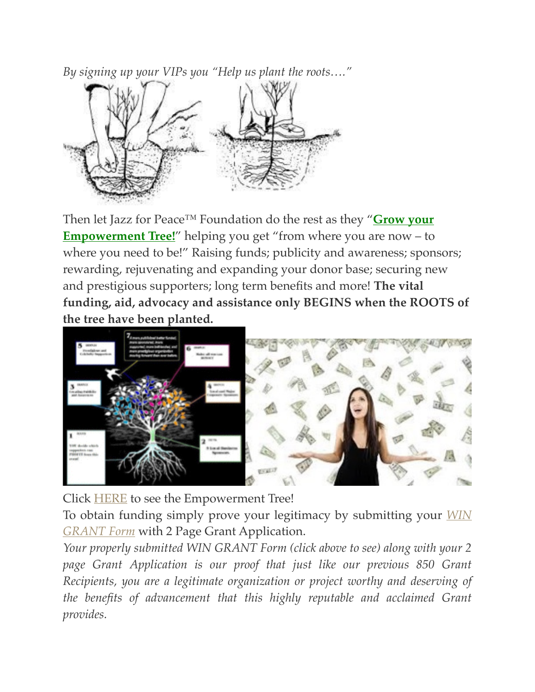*By signing up your VIPs you "Help us plant the roots…."*



[Then let Jazz for Peace™ Foundation do the rest as they "](http://jazzforpeace.org/tree)**Grow your Empowerment Tree!**" helping you get "from where you are now – to where you need to be!" Raising funds; publicity and awareness; sponsors; rewarding, rejuvenating and expanding your donor base; securing new and prestigious supporters; long term benefits and more! **The vital funding, aid, advocacy and assistance only BEGINS when the ROOTS of the tree have been planted.**



Click [HERE](http://jazzforpeace.org/tree/) to see the Empowerment Tree!

To obtain [funding simply prove your legitimacy by submitting your](http://jfptickets.wufoo.com/forms/win-grant/) *WIN GRANT Form* with 2 Page Grant Application.

*Your properly submitted WIN GRANT Form (click above to see) along with your 2 page Grant Application is our proof that just like our previous 850 Grant Recipients, you are a legitimate organization or project worthy and deserving of the benefits of advancement that this highly reputable and acclaimed Grant provides.*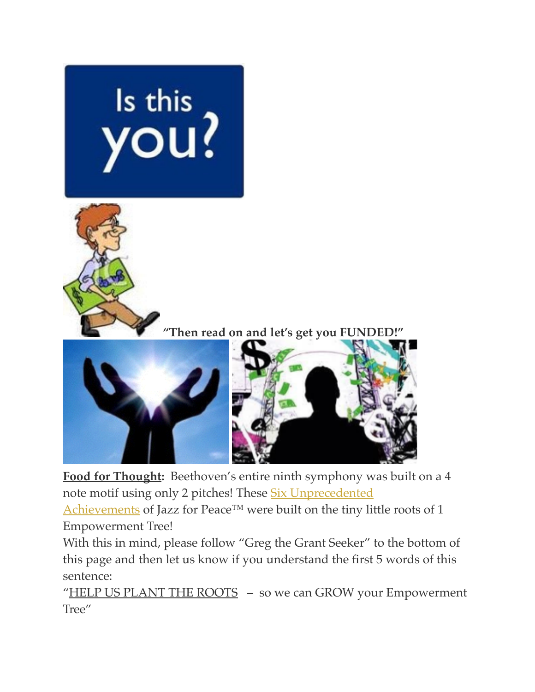

**Food for Thought:** Beethoven's entire ninth symphony was built on a 4 note motif using only 2 pitches! These Six Unprecedented

Achievements of [Jazz for Peace™ were built on the tiny lit](https://jazzforpeace.wordpress.com/about/unprecedented-achievements/)tle roots of 1 Empowerment Tree!

With this in mind, please follow "Greg the Grant Seeker" to the bottom of this page and then let us know if you understand the first 5 words of this sentence:

"HELP US PLANT THE ROOTS - so we can GROW your Empowerment Tree"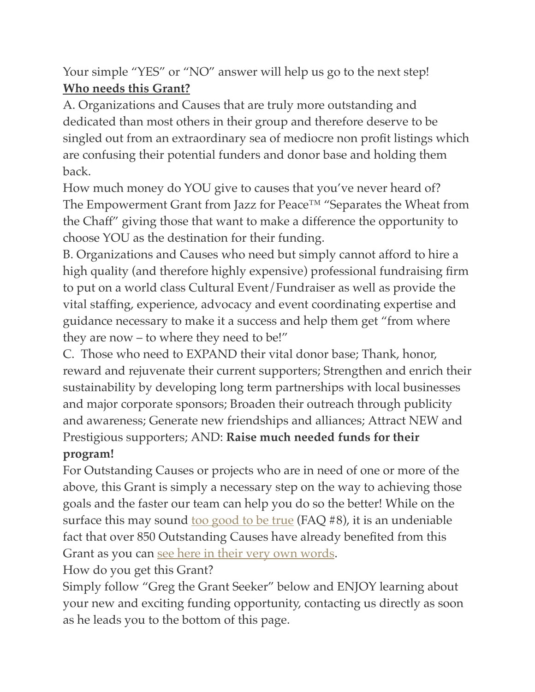Your simple "YES" or "NO" answer will help us go to the next step! **Who needs this Grant?**

A. Organizations and Causes that are truly more outstanding and dedicated than most others in their group and therefore deserve to be singled out from an extraordinary sea of mediocre non profit listings which are confusing their potential funders and donor base and holding them back.

How much money do YOU give to causes that you've never heard of? The Empowerment Grant from Jazz for Peace™ "Separates the Wheat from the Chaff" giving those that want to make a difference the opportunity to choose YOU as the destination for their funding.

B. Organizations and Causes who need but simply cannot afford to hire a high quality (and therefore highly expensive) professional fundraising firm to put on a world class Cultural Event/Fundraiser as well as provide the vital staffing, experience, advocacy and event coordinating expertise and guidance necessary to make it a success and help them get "from where they are now – to where they need to be!"

C. Those who need to EXPAND their vital donor base; Thank, honor, reward and rejuvenate their current supporters; Strengthen and enrich their sustainability by developing long term partnerships with local businesses and major corporate sponsors; Broaden their outreach through publicity and awareness; Generate new friendships and alliances; Attract NEW and Prestigious supporters; AND: **Raise much needed funds for their program!**

For Outstanding Causes or projects who are in need of one or more of the above, this Grant is simply a necessary step on the way to achieving those goals and the faster our team can help you do so the better! While on the surface this may sound <u>[too good to be true](http://jazzforpeace.org/grant/)</u> (FAQ  $#8$ ), it is an undeniable fact that over 850 Outstanding Causes have already benefited from this Grant as you can [see here in their very own words](https://jazzforpeace.wordpress.com/about/).

How do you get this Grant?

Simply follow "Greg the Grant Seeker" below and ENJOY learning about your new and exciting funding opportunity, contacting us directly as soon as he leads you to the bottom of this page.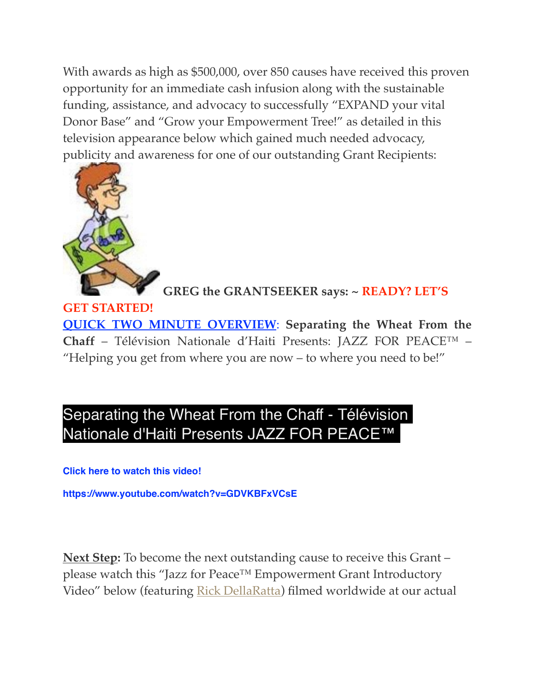With awards as high as \$500,000, over 850 causes have received this proven opportunity for an immediate cash infusion along with the sustainable funding, assistance, and advocacy to successfully "EXPAND your vital Donor Base" and "Grow your Empowerment Tree!" as detailed in this television appearance below which gained much needed advocacy, publicity and awareness for one of our outstanding Grant Recipients:



**GREG the GRANTSEEKER says: ~ READY? LET'S** 

**GET STARTED! QUICK TWO MINUTE OVERVIEW**: **Separating the Wheat From the Chaff** – Télévision Nationale d'Haiti Presents: JAZZ FOR PEACE™ – "Helping you get from where you are now – to where you need to be!"

## Separating the Wheat From the Chaff - Télévision Nationale d'Haiti Presents JAZZ FOR PEACE™

**Click here to watch this video!**

**https://www.youtube.com/watch?v=GDVKBFxVCsE**

**Next Step:** To become the next outstanding cause to receive this Grant – please watch this "Jazz for Peace™ Empowerment Grant Introductory Video" below (featuring [Rick DellaRatta](http://www.powerpresskits.com/PPKs/indexC.aspx?PPK=5192)) filmed worldwide at our actual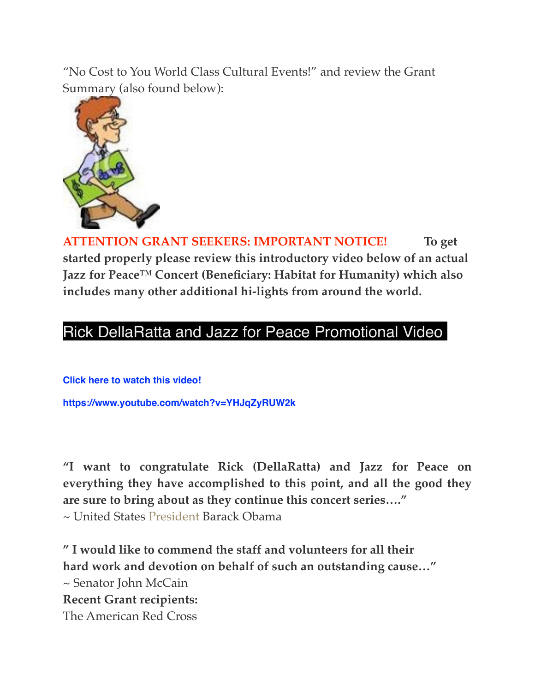"No Cost to You World Class Cultural Events!" and review the Grant Summary (also found below):



**ATTENTION GRANT SEEKERS: IMPORTANT NOTICE! To get started properly please review this introductory video below of an actual Jazz for Peace™ Concert (Beneficiary: Habitat for Humanity) which also includes many other additional hi-lights from around the world.**

### [Rick DellaRatta and Jazz for Peace Promotional Video](https://www.youtube.com/watch?v=YHJqZyRUW2k)

**Click here to watch this video! https://www.youtube.com/watch?v=YHJqZyRUW2k**

**"I want to congratulate Rick (DellaRatta) and Jazz for Peace on everything they have accomplished to this point, and all the good they are sure to bring about as they continue this concert series…."**

~ United States [President](http://www.ljjm.biz/#!unprecedented-achievements/vstc2=worldwide-supportters) Barack Obama

**" I would like to commend the staff and volunteers for all their hard work and devotion on behalf of such an outstanding cause…"** ~ Senator John McCain **Recent Grant recipients:** The American Red Cross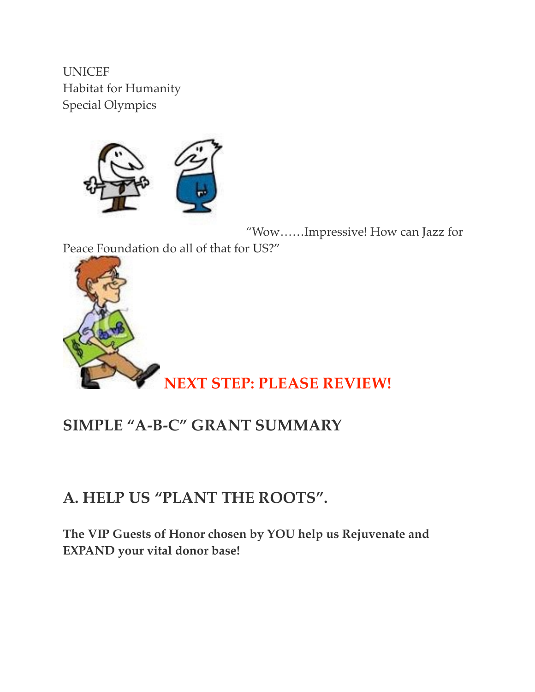UNICEF Habitat for Humanity Special Olympics



"Wow……Impressive! How can Jazz for Peace Foundation do all of that for US?"



## **SIMPLE "A-B-C" GRANT SUMMARY**

## **A. HELP US "PLANT THE ROOTS".**

**The VIP Guests of Honor chosen by YOU help us Rejuvenate and EXPAND your vital donor base!**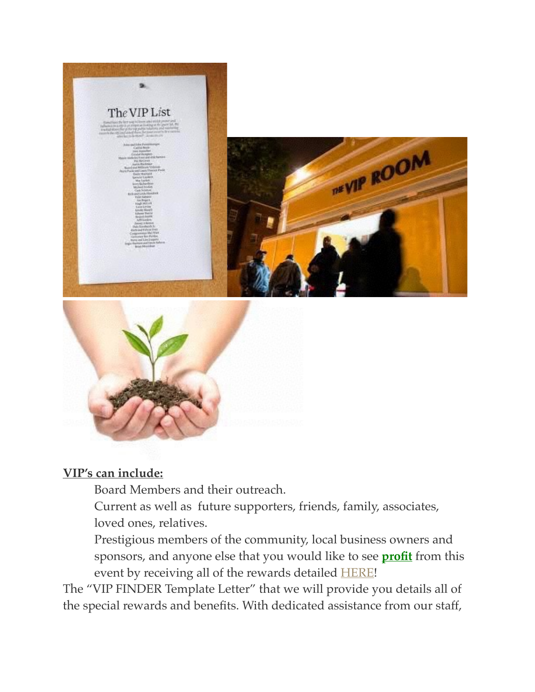



#### **VIP's can include:**

Board Members and their outreach.

Current as well as future supporters, friends, family, associates, loved ones, relatives.

Prestigious members of the community, local business owners and sponsors, and anyone else that you would like to see **profit** from this event by receiving all of the rewards detailed **[HERE](https://jazzforpeace.wordpress.com/step-2/)!** 

The "VIP FINDER Template Letter" that we will provide you details all of the special rewards and benefits. With dedicated assistance from our staff,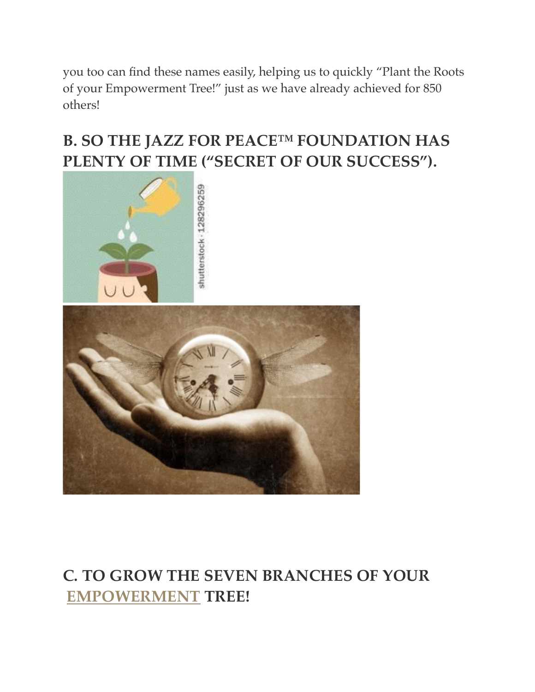you too can find these names easily, helping us to quickly "Plant the Roots of your Empowerment Tree!" just as we have already achieved for 850 others!

# **B. SO THE JAZZ FOR PEACE™ FOUNDATION HAS PLENTY OF TIME ("SECRET OF OUR SUCCESS").**





# **C. TO GROW THE SEVEN BRANCHES OF YOUR [EMPOWERMENT](http://www.jazzforpeace.org/tree) TREE!**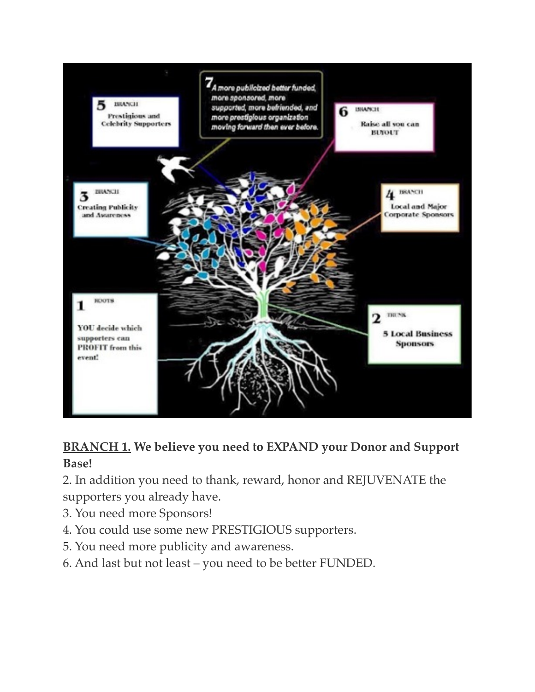

### **BRANCH 1. We believe you need to EXPAND your Donor and Support Base!**

- 2. In addition you need to thank, reward, honor and REJUVENATE the supporters you already have.
- 3. You need more Sponsors!
- 4. You could use some new PRESTIGIOUS supporters.
- 5. You need more publicity and awareness.
- 6. And last but not least you need to be better FUNDED.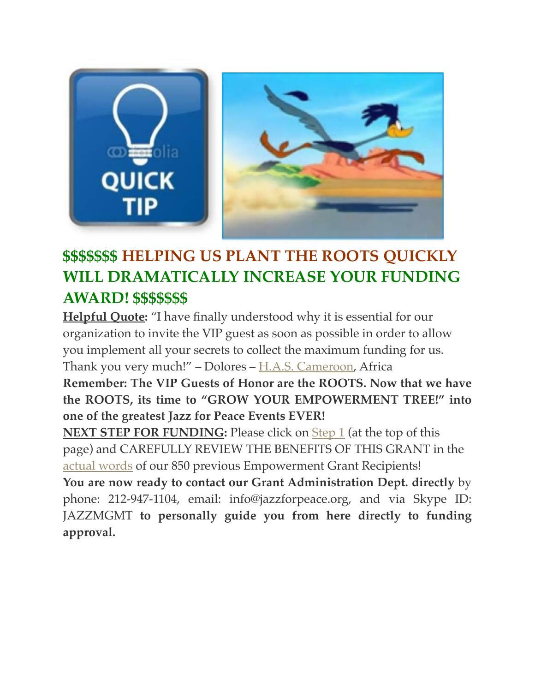

# **\$\$\$\$\$\$\$ HELPING US PLANT THE ROOTS QUICKLY WILL DRAMATICALLY INCREASE YOUR FUNDING AWARD! \$\$\$\$\$\$\$**

**Helpful Quote:** "I have finally understood why it is essential for our organization to invite the VIP guest as soon as possible in order to allow you implement all your secrets to collect the maximum funding for us. Thank you very much!" – Dolores – [H.A.S. Cameroon,](https://www.dropbox.com/s/yd33a221x0i9hki/HelpForAfricanStudents.pdf) Africa

**Remember: The VIP Guests of Honor are the ROOTS. Now that we have the ROOTS, its time to "GROW YOUR EMPOWERMENT TREE!" into one of the greatest Jazz for Peace Events EVER!**

**NEXT STEP FOR FUNDING:** Please click on **Step 1** (at the top of this page) and CAREFULLY REVIEW THE BENEFITS OF THIS GRANT in the [actual words](https://jazzforpeace.wordpress.com/about/) of our 850 previous Empowerment Grant Recipients!

**You are now ready to contact our Grant Administration Dept. directly** by phone: 212-947-1104, email: info@jazzforpeace.org, and via Skype ID: JAZZMGMT **to personally guide you from here directly to funding approval.**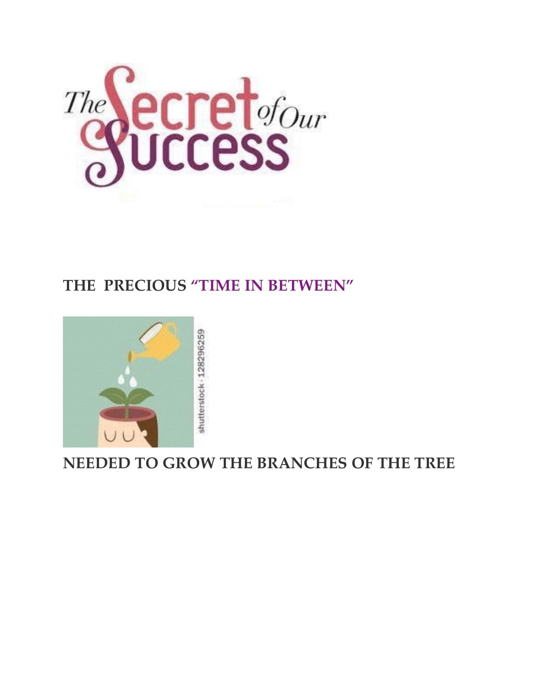

## **THE PRECIOUS "TIME IN BETWEEN"**



**NEEDED TO GROW THE BRANCHES OF THE TREE**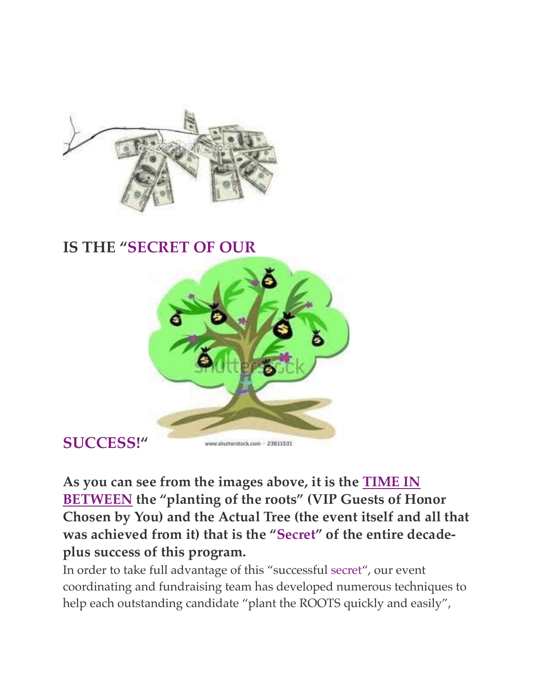

### **IS THE "SECRET OF OUR**



## **SUCCESS!"**

**As you can see from the images above, it is the TIME IN BETWEEN the "planting of the roots" (VIP Guests of Honor Chosen by You) and the Actual Tree (the event itself and all that was achieved from it) that is the "Secret" of the entire decadeplus success of this program.**

In order to take full advantage of this "successful secret", our event coordinating and fundraising team has developed numerous techniques to help each outstanding candidate "plant the ROOTS quickly and easily",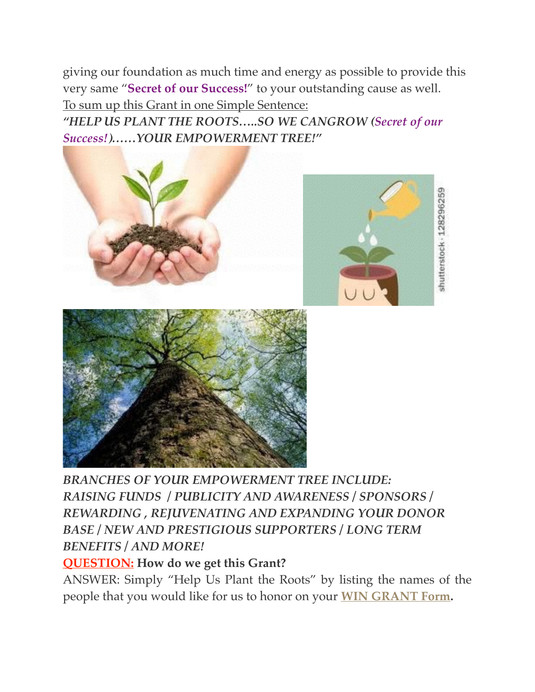giving our foundation as much time and energy as possible to provide this very same "**Secret of our Success!**" to your outstanding cause as well. To sum up this Grant in one Simple Sentence:

*"HELP US PLANT THE ROOTS…..SO WE CANGROW (Secret of our Success!)……YOUR EMPOWERMENT TREE!"*



shutterstock - 128296259

*BRANCHES OF YOUR EMPOWERMENT TREE INCLUDE: RAISING FUNDS / PUBLICITY AND AWARENESS / SPONSORS / REWARDING , REJUVENATING AND EXPANDING YOUR DONOR BASE / NEW AND PRESTIGIOUS SUPPORTERS / LONG TERM BENEFITS / AND MORE!*

#### **QUESTION: How do we get this Grant?**

ANSWER: Simply "Help Us Plant the Roots" by listing the names of the people that you would like for us to honor on your **[WIN GRANT Form.](http://jfptickets.wufoo.com/forms/win-grant/)**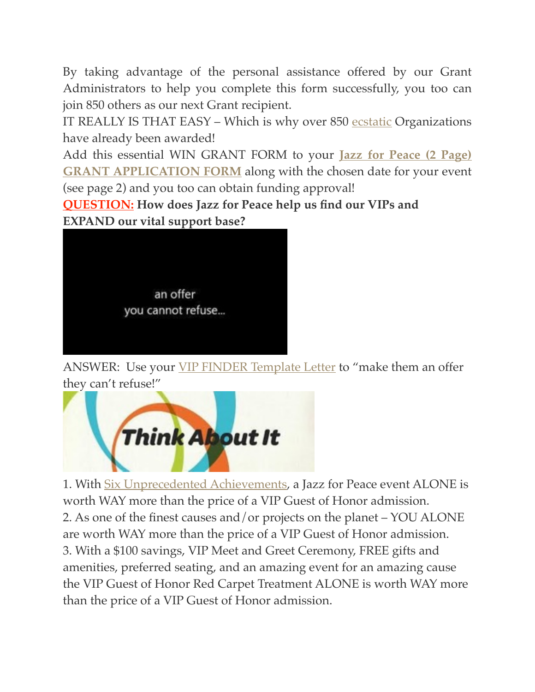By taking advantage of the personal assistance offered by our Grant Administrators to help you complete this form successfully, you too can join 850 others as our next Grant recipient.

IT REALLY IS THAT EASY – Which is why over 850 [ecstatic](https://jazzforpeace.wordpress.com/about/) Organizations have already been awarded!

[Add this essential WIN GRANT FORM to your](https://jfpgrant.wufoo.com/forms/zgihbwb0whc400/) **Jazz for Peace (2 Page) GRANT APPLICATION FORM** along with the chosen date for your event (see page 2) and you too can obtain funding approval!

**QUESTION: How does Jazz for Peace help us find our VIPs and EXPAND our vital support base?**



ANSWER: Use your *[VIP FINDER Template Letter](https://jazzforpeace.wordpress.com/step-3/)* to "make them an offer they can't refuse!"



1. With [Six Unprecedented Achievements,](https://jazzforpeace.wordpress.com/about/unprecedented-achievements/) a Jazz for Peace event ALONE is worth WAY more than the price of a VIP Guest of Honor admission. 2. As one of the finest causes and/or projects on the planet – YOU ALONE are worth WAY more than the price of a VIP Guest of Honor admission. 3. With a \$100 savings, VIP Meet and Greet Ceremony, FREE gifts and amenities, preferred seating, and an amazing event for an amazing cause the VIP Guest of Honor Red Carpet Treatment ALONE is worth WAY more than the price of a VIP Guest of Honor admission.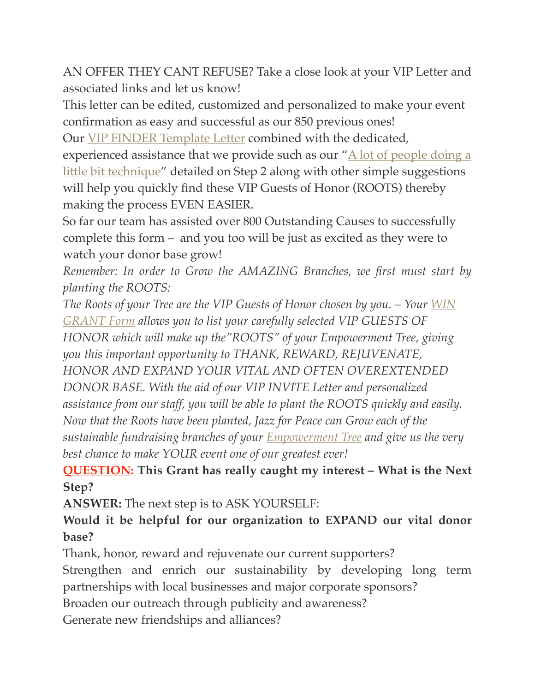AN OFFER THEY CANT REFUSE? Take a close look at your VIP Letter and associated links and let us know!

This letter can be edited, customized and personalized to make your event confirmation as easy and successful as our 850 previous ones!

Our [VIP FINDER Template Letter](https://jazzforpeace.wordpress.com/step-3/) combined with the dedicated, experienced assistance that we provide such as our " $\triangle$  lot of people doing a little bit technique" detailed on Step 2 along with other simple suggestions will help you quickly find these VIP Guests of Honor (ROOTS) thereby making the process EVEN EASIER.

So far our team has assisted over 800 Outstanding Causes to successfully complete this form – and you too will be just as excited as they were to watch your donor base grow!

*Remember: In order to Grow the AMAZING Branches, we first must start by planting the ROOTS:*

*[The Roots of your Tree are the VIP Guests of Honor chosen by you. – Your](http://jfptickets.wufoo.com/forms/win-grant/) WIN GRANT Form allows you to list your carefully selected VIP GUESTS OF HONOR which will make up the"ROOTS" of your Empowerment Tree, giving you this important opportunity to THANK, REWARD, REJUVENATE, HONOR AND EXPAND YOUR VITAL AND OFTEN OVEREXTENDED DONOR BASE. With the aid of our VIP INVITE Letter and personalized assistance from our staff, you will be able to plant the ROOTS quickly and easily. Now that the Roots have been planted, Jazz for Peace can Grow each of the sustainable fundraising branches of your [Empowerment Tree](http://www.jazzforpeace.org/tree) and give us the very best chance to make YOUR event one of our greatest ever!*

#### **QUESTION: This Grant has really caught my interest – What is the Next Step?**

**ANSWER:** The next step is to ASK YOURSELF:

#### **Would it be helpful for our organization to EXPAND our vital donor base?**

Thank, honor, reward and rejuvenate our current supporters? Strengthen and enrich our sustainability by developing long term partnerships with local businesses and major corporate sponsors? Broaden our outreach through publicity and awareness? Generate new friendships and alliances?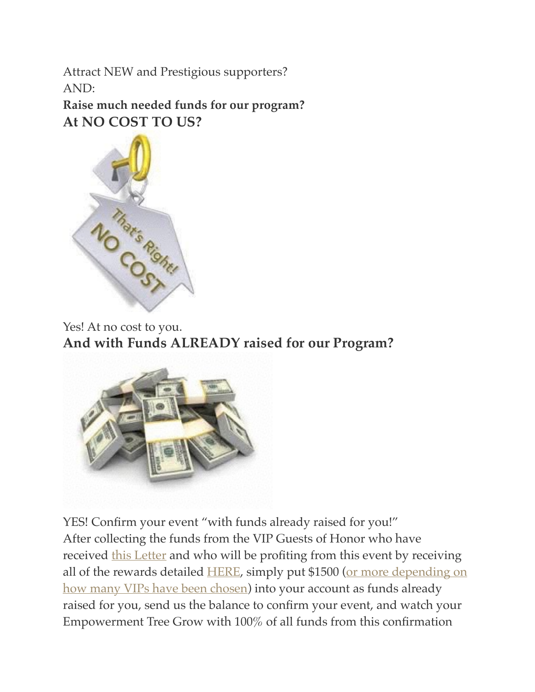Attract NEW and Prestigious supporters? AND:

**Raise much needed funds for our program? At NO COST TO US?**

![](_page_16_Picture_2.jpeg)

Yes! At no cost to you. **And with Funds ALREADY raised for our Program?**

![](_page_16_Picture_4.jpeg)

YES! Confirm your event "with funds already raised for you!" After collecting the funds from the VIP Guests of Honor who have received [this Letter](http://jazzforpeace.org/step1) and who will be profiting from this event by receiving [all of the rewards detailed](https://www.dropbox.com/s/b8jirhibmvq192b/ConfirmationBONUS!.pdf) [HER](https://jazzforpeace.wordpress.com/step-2/)[E, simply put \\$1500 \(or more depending on](https://www.dropbox.com/s/b8jirhibmvq192b/ConfirmationBONUS!.pdf)  how many VIPs have been chosen) into your account as funds already raised for you, send us the balance to confirm your event, and watch your Empowerment Tree Grow with 100% of all funds from this confirmation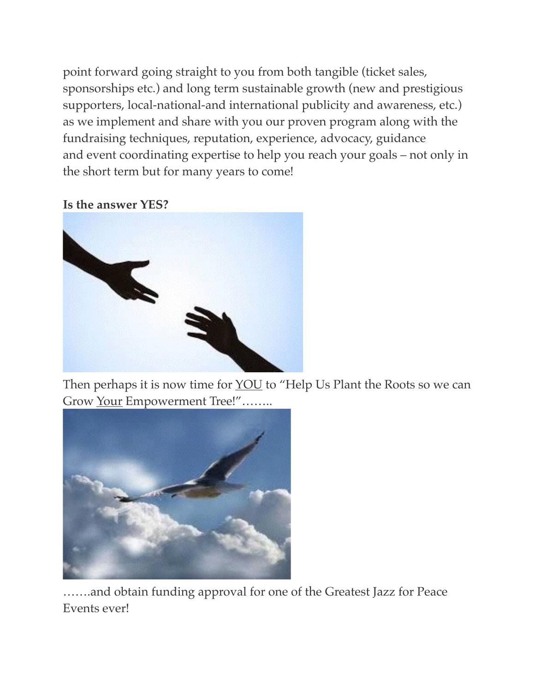point forward going straight to you from both tangible (ticket sales, sponsorships etc.) and long term sustainable growth (new and prestigious supporters, local-national-and international publicity and awareness, etc.) as we implement and share with you our proven program along with the fundraising techniques, reputation, experience, advocacy, guidance and event coordinating expertise to help you reach your goals – not only in the short term but for many years to come!

**Is the answer YES?**

![](_page_17_Picture_2.jpeg)

Then perhaps it is now time for **YOU** to "Help Us Plant the Roots so we can Grow Your Empowerment Tree!"........

![](_page_17_Picture_4.jpeg)

…….and obtain funding approval for one of the Greatest Jazz for Peace Events ever!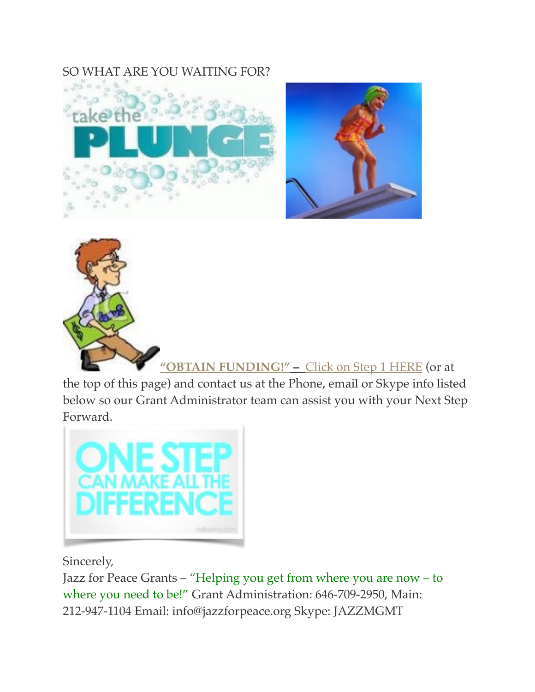#### SO WHAT ARE YOU WAITING FOR?

![](_page_18_Picture_1.jpeg)

![](_page_18_Picture_2.jpeg)

![](_page_18_Picture_3.jpeg)

**"OBTAIN FUNDING!" –** [Click on Step 1 HERE](https://jazzforpeace.wordpress.com/about/) (or at

the top of this page) and contact us at the Phone, email or Skype info listed below so our Grant Administrator team can assist you with your Next Step Forward.

![](_page_18_Picture_6.jpeg)

Sincerely,

Jazz for Peace Grants – "Helping you get from where you are now – to where you need to be!" Grant Administration: 646-709-2950, Main: 212-947-1104 Email: info@jazzforpeace.org Skype: JAZZMGMT